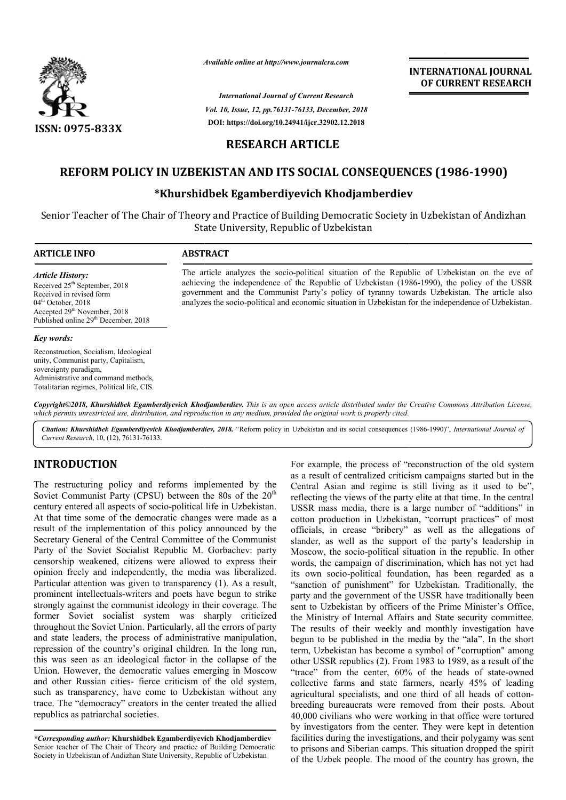

*Available online at http://www.journalcra.com*

*International Journal of Current Research Vol. 10, Issue, 12, pp.76131-76133, December, 2018* **DOI: https://doi.org/10.24941/ijcr.32902.12.2018**

## **INTERNATIONAL JOURNAL OF CURRENT RESEARCH**

### **RESEARCH ARTICLE**

# **REFORM POLICY IN UZBEKISTAN AND ITS SOCIAL CONSEQUENCES (1986 POLICY IN CONSEQUENCES (1986-1990)**

## **\*Khurshidbek Egamberdiyevich Khodjamberdiev Khurshidbek**

Senior Teacher of The Chair of Theory and Practice of Building Democratic Society in Uzbekistan of Andizhan Uzbekistan of State University, Republic of Uzbekistan

| <b>ARTICLE INFO</b> |  |
|---------------------|--|
|---------------------|--|

#### **ABSTRACT**

*Article History:* Received 25<sup>th</sup> September, 2018 Received in revised form 04<sup>th</sup> October, 2018 Accepted 29<sup>th</sup> November, 2018 Published online 29<sup>th</sup> December, 2018

#### *Key words:*

Reconstruction, Socialism, Ideological unity, Communist party, Capitalism, sovereignty paradigm, Administrative and command methods, Totalitarian regimes, Political life, CIS.

The article analyzes the socio-political situation of the Republic of Uzbekistan on the eve of achieving the independence of the Republic of Uzbekistan (1986-1990), the policy of the USSR achieving the independence of the Republic of Uzbekistan (1986-1990), the policy of the USSR government and the Communist Party's policy of tyranny towards Uzbekistan. The article also analyzes the socio-political and economic situation in Uzbekistan for the independence of Uzbekistan.

Copyright©2018, Khurshidbek Egamberdiyevich Khodjamberdiev. This is an open access article distributed under the Creative Commons Attribution License, which permits unrestricted use, distribution, and reproduction in any medium, provided the original work is properly cited.

Citation: Khurshidbek Egamberdiyevich Khodjamberdiev, 2018. "Reform policy in Uzbekistan and its social consequences (1986-1990)", International Journal of *Current Research*, 10, (12), 76131-76133.

### **INTRODUCTION**

The restructuring policy and reforms implemented by the Soviet Communist Party (CPSU) between the 80s of the  $20<sup>th</sup>$ century entered all aspects of socio-political life in Uzbekistan. At that time some of the democratic changes were made as a result of the implementation of this policy announced by the Secretary General of the Central Committee of the Communist Party of the Soviet Socialist Republic M. Gorbachev: party censorship weakened, citizens were allowed to express their opinion freely and independently, the media was liberalized. Particular attention was given to transparency (1). As a result, prominent intellectuals-writers and poets have begun to strike strongly against the communist ideology in their coverage. The former Soviet socialist system was sharply criticized throughout the Soviet Union. Particularly, all the errors of party and state leaders, the process of administrative manipulation, repression of the country's original children. In the long run, this was seen as an ideological factor in the collapse of the Union. However, the democratic values emerging in Moscow and other Russian cities- fierce criticism of the old system, such as transparency, have come to Uzbekistan without any trace. The "democracy" creators in the center treated the allied republics as patriarchal societies. political life in Uzbekistan.<br>ic changes were made as a<br>s policy announced by the<br>mmittee of the Communist<br>ublic M. Gorbachev: party<br>e allowed to express their<br>the media was liberalized.<br>insparency (1). As a result,

*\*Corresponding author:* **Khurshidbek Egamberdiyevich Khodjamberdiev** Senior teacher of The Chair of Theory and practice of Building Democratic Society in Uzbekistan of Andizhan State University, Republic of Uzbekistan

For example, the process of "reconstruction of the old system<br>
y (CPSU) between the 80s of the 2nd a result of centralized criticism campaigns stared but in the<br>
y (CPSU) between the 80s of the 20<sup>th</sup> reflecting the views For example, the process of "reconstruction of the old system<br>as a result of centralized criticism campaigns started but in the Central Asian and regime is still living as it used to be", reflecting the views of the party elite at that time. In the central USSR mass media, there is a large number of "additions" in cotton production in Uzbekistan, "corrupt practices" of most officials, in crease "bribery" as well as the allegations of slander, as well as the support of the party's leadership in Moscow, the socio-political situation in the republic. In other slander, as well as the support of the party's leadership in<br>Moscow, the socio-political situation in the republic. In other<br>words, the campaign of discrimination, which has not yet had its own socio-political foundation, has been regarded as a its own socio-political foundation, has been regarded as a "sanction of punishment" for Uzbekistan. Traditionally, the party and the government of the USSR have traditionally been sent to Uzbekistan by officers of the Prime Minister's Office, the Ministry of Internal Affairs and State security committee. The results of their weekly and monthly investigation have begun to be published in the media by the "ala". In the short term, Uzbekistan has become a symbol of "corruption" among other USSR republics (2). From 1983 to 1989, as a result of the other USSR republics (2). From 1983 to 1989, as a result of the "trace" from the center, 60% of the heads of state-owned collective farms and state farmers, nearly 45% of leading collective farms and state farmers, nearly 45% of leading agricultural specialists, and one third of all heads of cottonbreeding bureaucrats were removed from their posts. About 40,000 civilians who were working in that office were tortured by investigators from the center. They were kept in detention facilities during the investigations, and their polygamy was sent to prisons and Siberian camps. This situ of the Uzbek people. The mood of the country has grown, the party and the government of the USSR have traditionally been<br>sent to Uzbekistan by officers of the Prime Minister's Office,<br>the Ministry of Internal Affairs and State security committee.<br>The results of their weekly and mon who were working in that office were tortured<br>from the center. They were kept in detention<br>the investigations, and their polygamy was sent<br>berian camps. This situation dropped the spirit INTERNATIONAL JOURNAL<br>
OF CURRENT RESEARCH<br>
OF CURRENT RESEARCH<br>
Level in Uzbekistan of Andizhan<br>
ety in Uzbekistan of Andizhan<br>
Level in Uzbekistan of Andizhan<br>
Country and the USD of the USR (1986-1990), the policy of th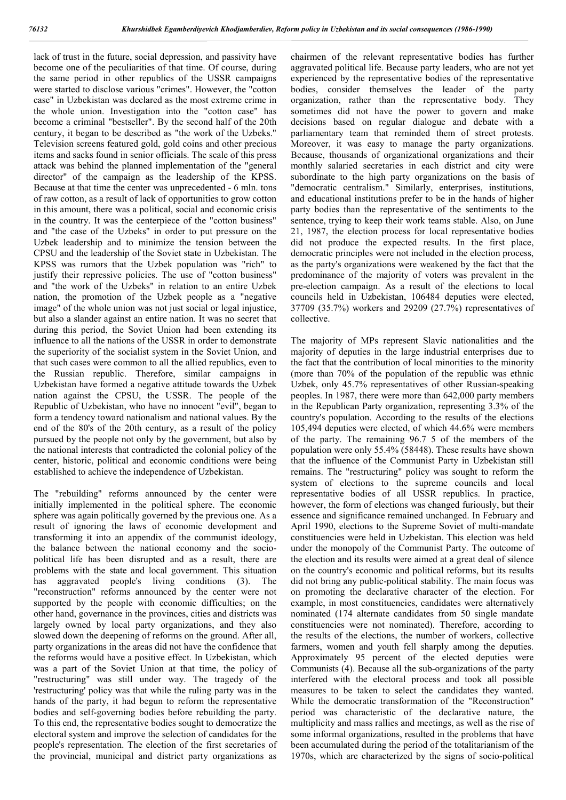lack of trust in the future, social depression, and passivity have become one of the peculiarities of that time. Of course, during the same period in other republics of the USSR campaigns were started to disclose various "crimes". However, the "cotton case" in Uzbekistan was declared as the most extreme crime in the whole union. Investigation into the "cotton case" has become a criminal "bestseller". By the second half of the 20th century, it began to be described as "the work of the Uzbeks." Television screens featured gold, gold coins and other precious items and sacks found in senior officials. The scale of this press attack was behind the planned implementation of the "general director" of the campaign as the leadership of the KPSS. Because at that time the center was unprecedented - 6 mln. tons of raw cotton, as a result of lack of opportunities to grow cotton in this amount, there was a political, social and economic crisis in the country. It was the centerpiece of the "cotton business" and "the case of the Uzbeks" in order to put pressure on the Uzbek leadership and to minimize the tension between the CPSU and the leadership of the Soviet state in Uzbekistan. The KPSS was rumors that the Uzbek population was "rich" to justify their repressive policies. The use of "cotton business" and "the work of the Uzbeks" in relation to an entire Uzbek nation, the promotion of the Uzbek people as a "negative image" of the whole union was not just social or legal injustice, but also a slander against an entire nation. It was no secret that during this period, the Soviet Union had been extending its influence to all the nations of the USSR in order to demonstrate the superiority of the socialist system in the Soviet Union, and that such cases were common to all the allied republics, even to the Russian republic. Therefore, similar campaigns in Uzbekistan have formed a negative attitude towards the Uzbek nation against the CPSU, the USSR. The people of the Republic of Uzbekistan, who have no innocent "evil", began to form a tendency toward nationalism and national values. By the end of the 80's of the 20th century, as a result of the policy pursued by the people not only by the government, but also by the national interests that contradicted the colonial policy of the center, historic, political and economic conditions were being established to achieve the independence of Uzbekistan.

The "rebuilding" reforms announced by the center were initially implemented in the political sphere. The economic sphere was again politically governed by the previous one. As a result of ignoring the laws of economic development and transforming it into an appendix of the communist ideology, the balance between the national economy and the sociopolitical life has been disrupted and as a result, there are problems with the state and local government. This situation has aggravated people's living conditions (3). The "reconstruction" reforms announced by the center were not supported by the people with economic difficulties; on the other hand, governance in the provinces, cities and districts was largely owned by local party organizations, and they also slowed down the deepening of reforms on the ground. After all, party organizations in the areas did not have the confidence that the reforms would have a positive effect. In Uzbekistan, which was a part of the Soviet Union at that time, the policy of "restructuring" was still under way. The tragedy of the 'restructuring' policy was that while the ruling party was in the hands of the party, it had begun to reform the representative bodies and self-governing bodies before rebuilding the party. To this end, the representative bodies sought to democratize the electoral system and improve the selection of candidates for the people's representation. The election of the first secretaries of the provincial, municipal and district party organizations as

chairmen of the relevant representative bodies has further aggravated political life. Because party leaders, who are not yet experienced by the representative bodies of the representative bodies, consider themselves the leader of the party organization, rather than the representative body. They sometimes did not have the power to govern and make decisions based on regular dialogue and debate with a parliamentary team that reminded them of street protests. Moreover, it was easy to manage the party organizations. Because, thousands of organizational organizations and their monthly salaried secretaries in each district and city were subordinate to the high party organizations on the basis of "democratic centralism." Similarly, enterprises, institutions, and educational institutions prefer to be in the hands of higher party bodies than the representative of the sentiments to the sentence, trying to keep their work teams stable. Also, on June 21, 1987, the election process for local representative bodies did not produce the expected results. In the first place, democratic principles were not included in the election process, as the party's organizations were weakened by the fact that the predominance of the majority of voters was prevalent in the pre-election campaign. As a result of the elections to local councils held in Uzbekistan, 106484 deputies were elected, 37709 (35.7%) workers and 29209 (27.7%) representatives of collective.

The majority of MPs represent Slavic nationalities and the majority of deputies in the large industrial enterprises due to the fact that the contribution of local minorities to the minority (more than 70% of the population of the republic was ethnic Uzbek, only 45.7% representatives of other Russian-speaking peoples. In 1987, there were more than 642,000 party members in the Republican Party organization, representing 3.3% of the country's population. According to the results of the elections 105,494 deputies were elected, of which 44.6% were members of the party. The remaining 96.7 5 of the members of the population were only 55.4% (58448). These results have shown that the influence of the Communist Party in Uzbekistan still remains. The "restructuring" policy was sought to reform the system of elections to the supreme councils and local representative bodies of all USSR republics. In practice, however, the form of elections was changed furiously, but their essence and significance remained unchanged. In February and April 1990, elections to the Supreme Soviet of multi-mandate constituencies were held in Uzbekistan. This election was held under the monopoly of the Communist Party. The outcome of the election and its results were aimed at a great deal of silence on the country's economic and political reforms, but its results did not bring any public-political stability. The main focus was on promoting the declarative character of the election. For example, in most constituencies, candidates were alternatively nominated (174 alternate candidates from 50 single mandate constituencies were not nominated). Therefore, according to the results of the elections, the number of workers, collective farmers, women and youth fell sharply among the deputies. Approximately 95 percent of the elected deputies were Communists (4). Because all the sub-organizations of the party interfered with the electoral process and took all possible measures to be taken to select the candidates they wanted. While the democratic transformation of the "Reconstruction" period was characteristic of the declarative nature, the multiplicity and mass rallies and meetings, as well as the rise of some informal organizations, resulted in the problems that have been accumulated during the period of the totalitarianism of the 1970s, which are characterized by the signs of socio-political